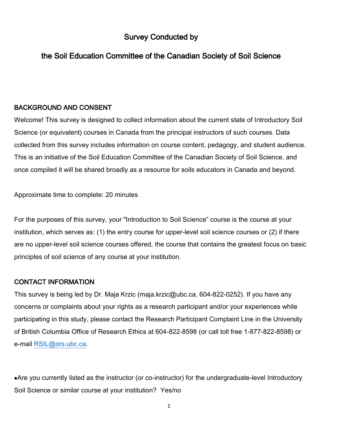# Survey Conducted by

# the Soil Education Committee of the Canadian Society of Soil Science

# BACKGROUND AND CONSENT

Welcome! This survey is designed to collect information about the current state of Introductory Soil Science (or equivalent) courses in Canada from the principal instructors of such courses. Data collected from this survey includes information on course content, pedagogy, and student audience. This is an initiative of the Soil Education Committee of the Canadian Society of Soil Science, and once compiled it will be shared broadly as a resource for soils educators in Canada and beyond.

Approximate time to complete: 20 minutes

For the purposes of this survey, your "Introduction to Soil Science" course is the course at your institution, which serves as: (1) the entry course for upper-level soil science courses or (2) if there are no upper-level soil science courses offered, the course that contains the greatest focus on basic principles of soil science of any course at your institution.

# CONTACT INFORMATION

This survey is being led by Dr. Maja Krzic (maja.krzic@ubc.ca, 604-822-0252). If you have any concerns or complaints about your rights as a research participant and/or your experiences while participating in this study, please contact the Research Participant Complaint Line in the University of British Columbia Office of Research Ethics at 604-822-8598 (or call toll free 1-877-822-8598) or e-mail [RSIL@ors.ubc.ca.](mailto:RSIL@ors.ubc.ca)

Are you currently listed as the instructor (or co-instructor) for the undergraduate-level Introductory Soil Science or similar course at your institution? Yes/no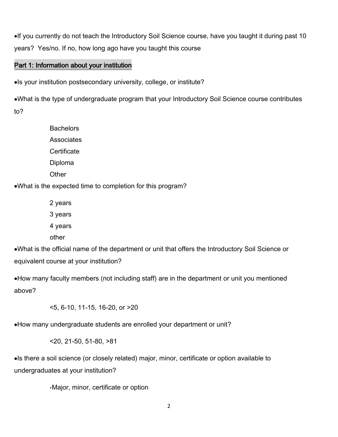If you currently do not teach the Introductory Soil Science course, have you taught it during past 10 years? Yes/no. If no, how long ago have you taught this course

## Part 1: Information about your institution

• Is your institution postsecondary university, college, or institute?

What is the type of undergraduate program that your Introductory Soil Science course contributes to?

**Bachelors** 

**Associates** 

**Certificate** 

Diploma

**Other** 

What is the expected time to completion for this program?

2 years

3 years

4 years

other

What is the official name of the department or unit that offers the Introductory Soil Science or equivalent course at your institution?

How many faculty members (not including staff) are in the department or unit you mentioned above?

<5, 6-10, 11-15, 16-20, or >20

How many undergraduate students are enrolled your department or unit?

<20, 21-50, 51-80, >81

Is there a soil science (or closely related) major, minor, certificate or option available to undergraduates at your institution?

-Major, minor, certificate or option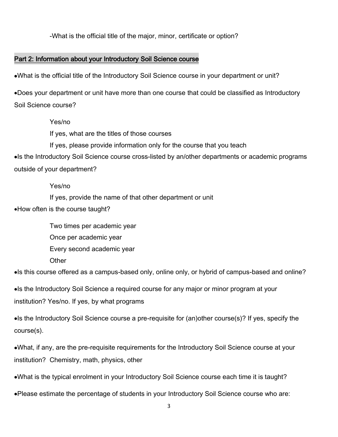-What is the official title of the major, minor, certificate or option?

### Part 2: Information about your Introductory Soil Science course

What is the official title of the Introductory Soil Science course in your department or unit?

Does your department or unit have more than one course that could be classified as Introductory Soil Science course?

#### Yes/no

If yes, what are the titles of those courses

If yes, please provide information only for the course that you teach

• Is the Introductory Soil Science course cross-listed by an/other departments or academic programs outside of your department?

#### Yes/no

If yes, provide the name of that other department or unit • How often is the course taught?

> Two times per academic year Once per academic year Every second academic year **Other**

• Is this course offered as a campus-based only, online only, or hybrid of campus-based and online?

• Is the Introductory Soil Science a required course for any major or minor program at your institution? Yes/no. If yes, by what programs

Is the Introductory Soil Science course a pre-requisite for (an)other course(s)? If yes, specify the course(s).

What, if any, are the pre-requisite requirements for the Introductory Soil Science course at your institution? Chemistry, math, physics, other

What is the typical enrolment in your Introductory Soil Science course each time it is taught?

Please estimate the percentage of students in your Introductory Soil Science course who are: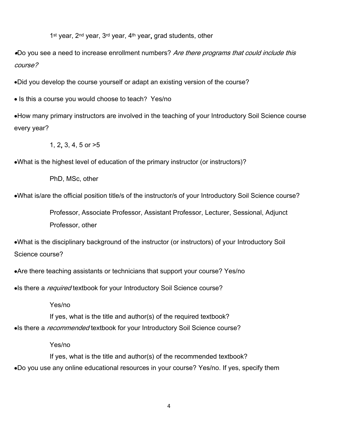1<sup>st</sup> year, 2<sup>nd</sup> year, 3<sup>rd</sup> year, 4<sup>th</sup> year, grad students, other

•Do you see a need to increase enrollment numbers? Are there programs that could include this course?

Did you develop the course yourself or adapt an existing version of the course?

• Is this a course you would choose to teach? Yes/no

How many primary instructors are involved in the teaching of your Introductory Soil Science course every year?

1, 2, 3, 4, 5 or >5

What is the highest level of education of the primary instructor (or instructors)?

PhD, MSc, other

What is/are the official position title/s of the instructor/s of your Introductory Soil Science course?

Professor, Associate Professor, Assistant Professor, Lecturer, Sessional, Adjunct Professor, other

What is the disciplinary background of the instructor (or instructors) of your Introductory Soil Science course?

Are there teaching assistants or technicians that support your course? Yes/no

Is there a required textbook for your Introductory Soil Science course?

Yes/no

If yes, what is the title and author(s) of the required textbook? Is there a *recommended* textbook for your Introductory Soil Science course?

### Yes/no

If yes, what is the title and author(s) of the recommended textbook? Do you use any online educational resources in your course? Yes/no. If yes, specify them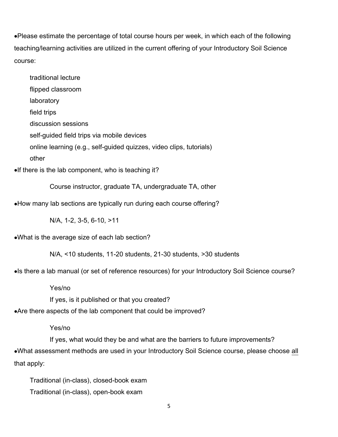Please estimate the percentage of total course hours per week, in which each of the following teaching/learning activities are utilized in the current offering of your Introductory Soil Science course:

- traditional lecture flipped classroom laboratory field trips discussion sessions self-guided field trips via mobile devices online learning (e.g., self-guided quizzes, video clips, tutorials) other
- $\bullet$ If there is the lab component, who is teaching it?

Course instructor, graduate TA, undergraduate TA, other

How many lab sections are typically run during each course offering?

N/A, 1-2, 3-5, 6-10, >11

What is the average size of each lab section?

N/A, <10 students, 11-20 students, 21-30 students, >30 students

Is there a lab manual (or set of reference resources) for your Introductory Soil Science course?

Yes/no

If yes, is it published or that you created?

Are there aspects of the lab component that could be improved?

Yes/no

If yes, what would they be and what are the barriers to future improvements? What assessment methods are used in your Introductory Soil Science course, please choose all that apply:

Traditional (in-class), closed-book exam Traditional (in-class), open-book exam